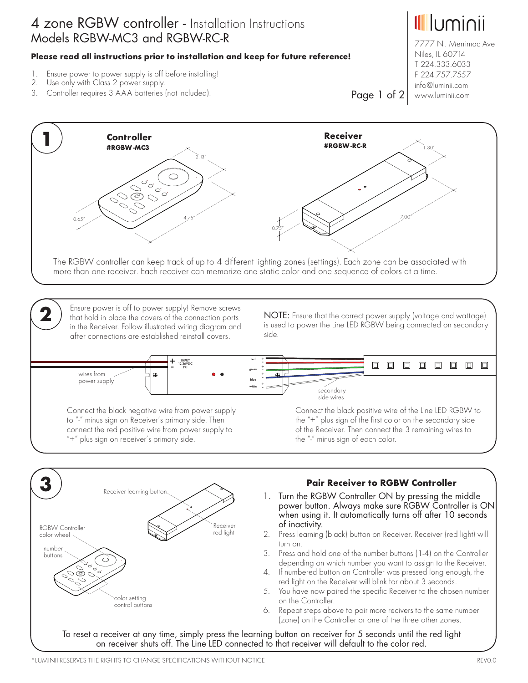## 4 zone RGBW controller - Installation Instructions Models RGBW-MC3 and RGBW-RC-R

#### **Please read all instructions prior to installation and keep for future reference!**

- 1. Ensure power to power supply is off before installing!
- Use only with Class 2 power supply.
- 3. Controller requires 3 AAA batteries (not included).

<u>Illuminii</u> 7777 N . Merrimac Ave

Niles, IL 60714 T 224.333.6033 F 224.757.7557 info@luminii.com

Page 1 of 2 www.luminii.com